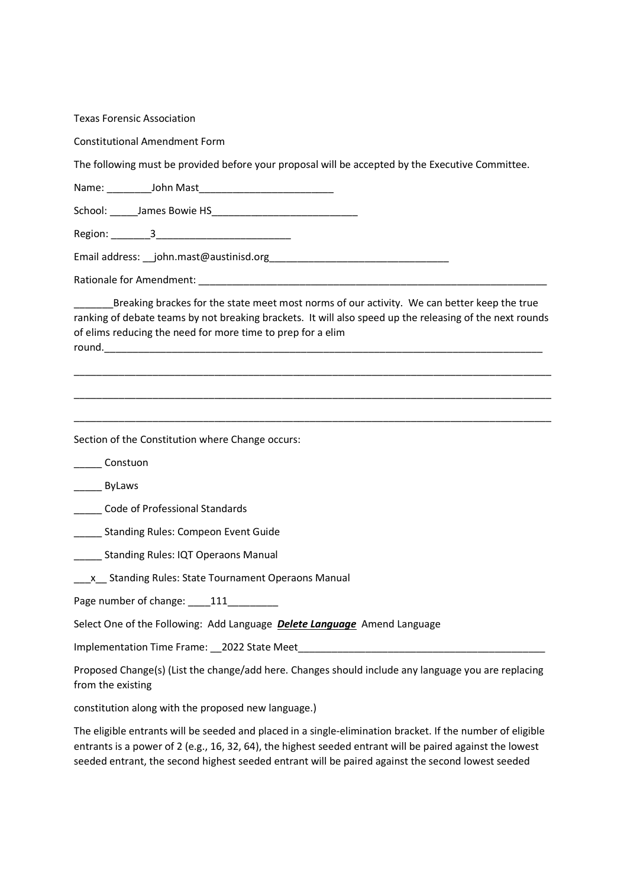| <b>Texas Forensic Association</b>                                                                                                                                                                                                                                                                                            |
|------------------------------------------------------------------------------------------------------------------------------------------------------------------------------------------------------------------------------------------------------------------------------------------------------------------------------|
| <b>Constitutional Amendment Form</b>                                                                                                                                                                                                                                                                                         |
| The following must be provided before your proposal will be accepted by the Executive Committee.                                                                                                                                                                                                                             |
|                                                                                                                                                                                                                                                                                                                              |
|                                                                                                                                                                                                                                                                                                                              |
|                                                                                                                                                                                                                                                                                                                              |
|                                                                                                                                                                                                                                                                                                                              |
|                                                                                                                                                                                                                                                                                                                              |
| Breaking brackes for the state meet most norms of our activity. We can better keep the true<br>ranking of debate teams by not breaking brackets. It will also speed up the releasing of the next rounds<br>of elims reducing the need for more time to prep for a elim                                                       |
|                                                                                                                                                                                                                                                                                                                              |
| Section of the Constitution where Change occurs:                                                                                                                                                                                                                                                                             |
| Constuon                                                                                                                                                                                                                                                                                                                     |
| ByLaws                                                                                                                                                                                                                                                                                                                       |
| Code of Professional Standards                                                                                                                                                                                                                                                                                               |
| Standing Rules: Compeon Event Guide                                                                                                                                                                                                                                                                                          |
| <b>Standing Rules: IQT Operaons Manual</b>                                                                                                                                                                                                                                                                                   |
| x Standing Rules: State Tournament Operaons Manual                                                                                                                                                                                                                                                                           |
| Page number of change: 111                                                                                                                                                                                                                                                                                                   |
| Select One of the Following: Add Language Delete Language Amend Language                                                                                                                                                                                                                                                     |
| Implementation Time Frame: 2022 State Meet                                                                                                                                                                                                                                                                                   |
| Proposed Change(s) (List the change/add here. Changes should include any language you are replacing<br>from the existing                                                                                                                                                                                                     |
| constitution along with the proposed new language.)                                                                                                                                                                                                                                                                          |
| The eligible entrants will be seeded and placed in a single-elimination bracket. If the number of eligible<br>entrants is a power of 2 (e.g., 16, 32, 64), the highest seeded entrant will be paired against the lowest<br>seeded entrant, the second highest seeded entrant will be paired against the second lowest seeded |